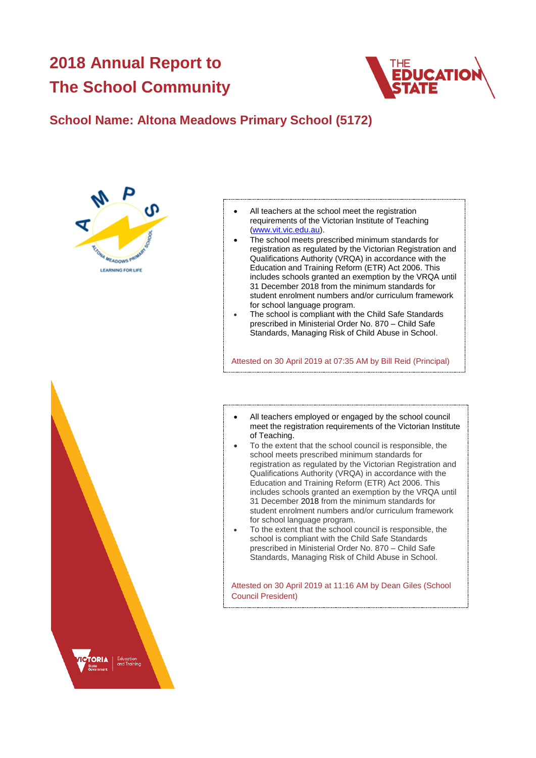# **2018 Annual Report to The School Community**



## **School Name: Altona Meadows Primary School (5172)**





- All teachers at the school meet the registration requirements of the Victorian Institute of Teaching [\(www.vit.vic.edu.au\)](https://www.vit.vic.edu.au/).
- The school meets prescribed minimum standards for registration as regulated by the Victorian Registration and Qualifications Authority (VRQA) in accordance with the Education and Training Reform (ETR) Act 2006. This includes schools granted an exemption by the VRQA until 31 December 2018 from the minimum standards for student enrolment numbers and/or curriculum framework for school language program.
- The school is compliant with the Child Safe Standards prescribed in Ministerial Order No. 870 – Child Safe Standards, Managing Risk of Child Abuse in School.

Attested on 30 April 2019 at 07:35 AM by Bill Reid (Principal)

- All teachers employed or engaged by the school council meet the registration requirements of the Victorian Institute of Teaching.
- To the extent that the school council is responsible, the school meets prescribed minimum standards for registration as regulated by the Victorian Registration and Qualifications Authority (VRQA) in accordance with the Education and Training Reform (ETR) Act 2006. This includes schools granted an exemption by the VRQA until 31 December 2018 from the minimum standards for student enrolment numbers and/or curriculum framework for school language program.
- To the extent that the school council is responsible, the school is compliant with the Child Safe Standards prescribed in Ministerial Order No. 870 – Child Safe Standards, Managing Risk of Child Abuse in School.

Attested on 30 April 2019 at 11:16 AM by Dean Giles (School Council President)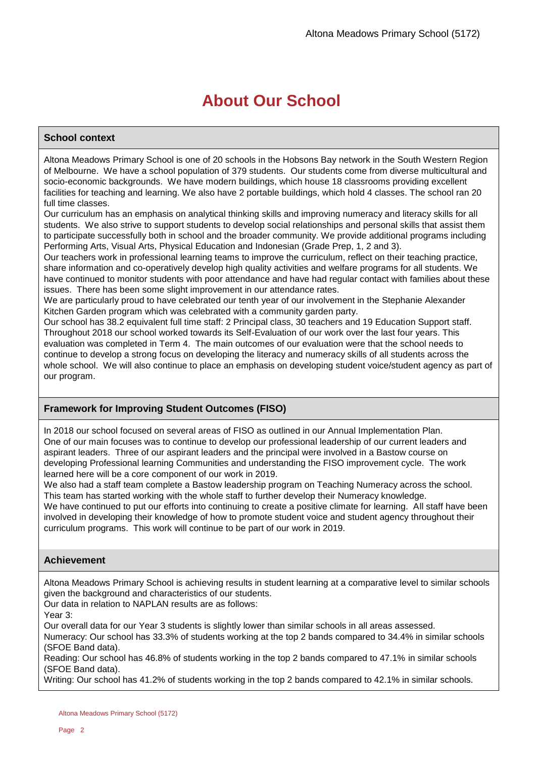# **About Our School**

### **School context**

Altona Meadows Primary School is one of 20 schools in the Hobsons Bay network in the South Western Region of Melbourne. We have a school population of 379 students. Our students come from diverse multicultural and socio-economic backgrounds. We have modern buildings, which house 18 classrooms providing excellent facilities for teaching and learning. We also have 2 portable buildings, which hold 4 classes. The school ran 20 full time classes.

Our curriculum has an emphasis on analytical thinking skills and improving numeracy and literacy skills for all students. We also strive to support students to develop social relationships and personal skills that assist them to participate successfully both in school and the broader community. We provide additional programs including Performing Arts, Visual Arts, Physical Education and Indonesian (Grade Prep, 1, 2 and 3).

Our teachers work in professional learning teams to improve the curriculum, reflect on their teaching practice, share information and co-operatively develop high quality activities and welfare programs for all students. We have continued to monitor students with poor attendance and have had regular contact with families about these issues. There has been some slight improvement in our attendance rates.

We are particularly proud to have celebrated our tenth year of our involvement in the Stephanie Alexander Kitchen Garden program which was celebrated with a community garden party.

Our school has 38.2 equivalent full time staff: 2 Principal class, 30 teachers and 19 Education Support staff. Throughout 2018 our school worked towards its Self-Evaluation of our work over the last four years. This evaluation was completed in Term 4. The main outcomes of our evaluation were that the school needs to continue to develop a strong focus on developing the literacy and numeracy skills of all students across the whole school. We will also continue to place an emphasis on developing student voice/student agency as part of our program.

### **Framework for Improving Student Outcomes (FISO)**

In 2018 our school focused on several areas of FISO as outlined in our Annual Implementation Plan. One of our main focuses was to continue to develop our professional leadership of our current leaders and aspirant leaders. Three of our aspirant leaders and the principal were involved in a Bastow course on developing Professional learning Communities and understanding the FISO improvement cycle. The work learned here will be a core component of our work in 2019.

We also had a staff team complete a Bastow leadership program on Teaching Numeracy across the school. This team has started working with the whole staff to further develop their Numeracy knowledge. We have continued to put our efforts into continuing to create a positive climate for learning. All staff have been involved in developing their knowledge of how to promote student voice and student agency throughout their curriculum programs. This work will continue to be part of our work in 2019.

### **Achievement**

Altona Meadows Primary School is achieving results in student learning at a comparative level to similar schools given the background and characteristics of our students.

Our data in relation to NAPLAN results are as follows:

Year 3:

Our overall data for our Year 3 students is slightly lower than similar schools in all areas assessed.

Numeracy: Our school has 33.3% of students working at the top 2 bands compared to 34.4% in similar schools (SFOE Band data).

Reading: Our school has 46.8% of students working in the top 2 bands compared to 47.1% in similar schools (SFOE Band data).

Writing: Our school has 41.2% of students working in the top 2 bands compared to 42.1% in similar schools.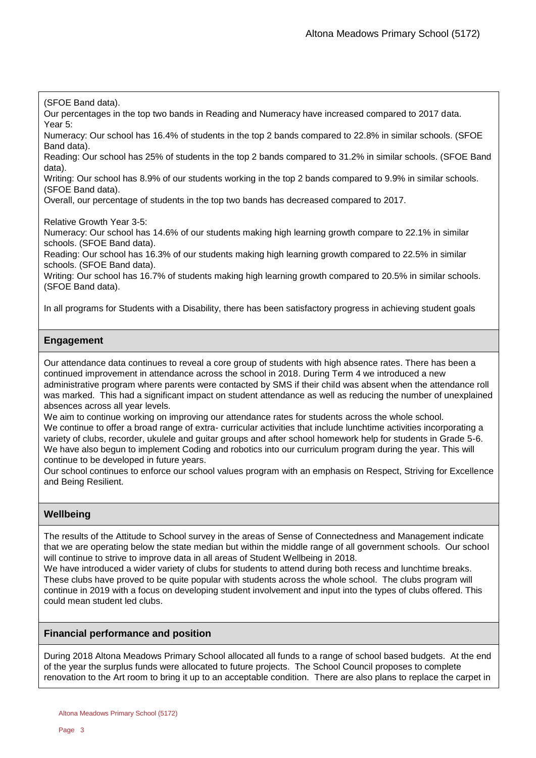(SFOE Band data).

Our percentages in the top two bands in Reading and Numeracy have increased compared to 2017 data. Year 5:

Numeracy: Our school has 16.4% of students in the top 2 bands compared to 22.8% in similar schools. (SFOE Band data).

Reading: Our school has 25% of students in the top 2 bands compared to 31.2% in similar schools. (SFOE Band data).

Writing: Our school has 8.9% of our students working in the top 2 bands compared to 9.9% in similar schools. (SFOE Band data).

Overall, our percentage of students in the top two bands has decreased compared to 2017.

Relative Growth Year 3-5:

Numeracy: Our school has 14.6% of our students making high learning growth compare to 22.1% in similar schools. (SFOE Band data).

Reading: Our school has 16.3% of our students making high learning growth compared to 22.5% in similar schools. (SFOE Band data).

Writing: Our school has 16.7% of students making high learning growth compared to 20.5% in similar schools. (SFOE Band data).

In all programs for Students with a Disability, there has been satisfactory progress in achieving student goals

### **Engagement**

Our attendance data continues to reveal a core group of students with high absence rates. There has been a continued improvement in attendance across the school in 2018. During Term 4 we introduced a new administrative program where parents were contacted by SMS if their child was absent when the attendance roll was marked. This had a significant impact on student attendance as well as reducing the number of unexplained absences across all year levels.

We aim to continue working on improving our attendance rates for students across the whole school. We continue to offer a broad range of extra- curricular activities that include lunchtime activities incorporating a variety of clubs, recorder, ukulele and guitar groups and after school homework help for students in Grade 5-6. We have also begun to implement Coding and robotics into our curriculum program during the year. This will continue to be developed in future years.

Our school continues to enforce our school values program with an emphasis on Respect, Striving for Excellence and Being Resilient.

### **Wellbeing**

The results of the Attitude to School survey in the areas of Sense of Connectedness and Management indicate that we are operating below the state median but within the middle range of all government schools. Our school will continue to strive to improve data in all areas of Student Wellbeing in 2018.

We have introduced a wider variety of clubs for students to attend during both recess and lunchtime breaks. These clubs have proved to be quite popular with students across the whole school. The clubs program will continue in 2019 with a focus on developing student involvement and input into the types of clubs offered. This could mean student led clubs.

### **Financial performance and position**

During 2018 Altona Meadows Primary School allocated all funds to a range of school based budgets. At the end of the year the surplus funds were allocated to future projects. The School Council proposes to complete renovation to the Art room to bring it up to an acceptable condition. There are also plans to replace the carpet in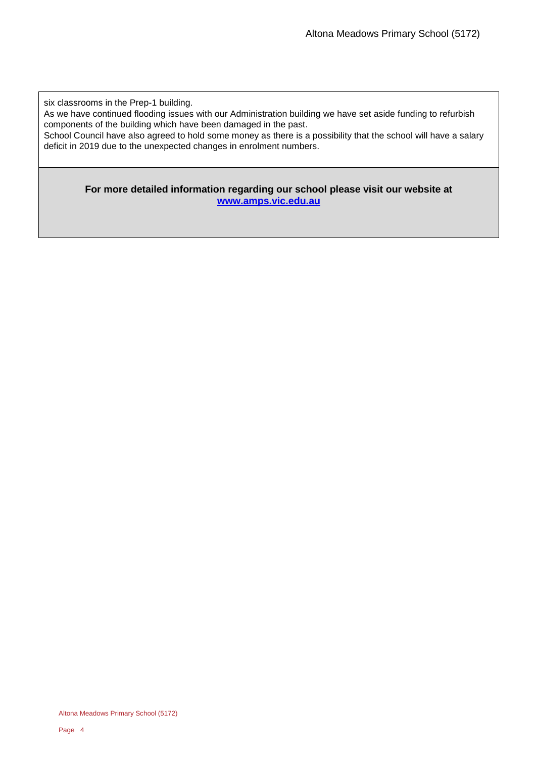six classrooms in the Prep-1 building.

As we have continued flooding issues with our Administration building we have set aside funding to refurbish components of the building which have been damaged in the past.

School Council have also agreed to hold some money as there is a possibility that the school will have a salary deficit in 2019 due to the unexpected changes in enrolment numbers.

**For more detailed information regarding our school please visit our website at [www.amps.vic.edu.au](file:///C:/Users/08049658/Downloads/www.amps.vic.edu.au)**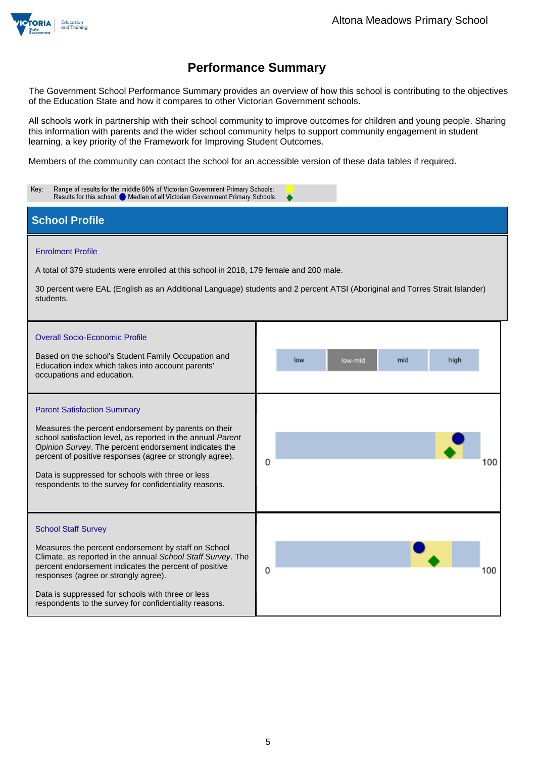

The Government School Performance Summary provides an overview of how this school is contributing to the objectives of the Education State and how it compares to other Victorian Government schools.

All schools work in partnership with their school community to improve outcomes for children and young people. Sharing this information with parents and the wider school community helps to support community engagement in student learning, a key priority of the Framework for Improving Student Outcomes.

Members of the community can contact the school for an accessible version of these data tables if required.

| Range of results for the middle 60% of Victorian Government Primary Schools:<br>Key:<br>Results for this school: O Median of all Victorian Government Primary Schools:                                                                                                                                                                                                                        |                               |  |  |  |  |  |
|-----------------------------------------------------------------------------------------------------------------------------------------------------------------------------------------------------------------------------------------------------------------------------------------------------------------------------------------------------------------------------------------------|-------------------------------|--|--|--|--|--|
| <b>School Profile</b>                                                                                                                                                                                                                                                                                                                                                                         |                               |  |  |  |  |  |
| <b>Enrolment Profile</b><br>A total of 379 students were enrolled at this school in 2018, 179 female and 200 male.<br>30 percent were EAL (English as an Additional Language) students and 2 percent ATSI (Aboriginal and Torres Strait Islander)<br>students.                                                                                                                                |                               |  |  |  |  |  |
| <b>Overall Socio-Economic Profile</b><br>Based on the school's Student Family Occupation and<br>Education index which takes into account parents'<br>occupations and education.                                                                                                                                                                                                               | low<br>mid<br>high<br>low-mid |  |  |  |  |  |
| <b>Parent Satisfaction Summary</b><br>Measures the percent endorsement by parents on their<br>school satisfaction level, as reported in the annual Parent<br>Opinion Survey. The percent endorsement indicates the<br>percent of positive responses (agree or strongly agree).<br>Data is suppressed for schools with three or less<br>respondents to the survey for confidentiality reasons. | 0<br>100                      |  |  |  |  |  |
| <b>School Staff Survey</b><br>Measures the percent endorsement by staff on School<br>Climate, as reported in the annual School Staff Survey. The<br>percent endorsement indicates the percent of positive<br>responses (agree or strongly agree).<br>Data is suppressed for schools with three or less<br>respondents to the survey for confidentiality reasons.                              | 0<br>100                      |  |  |  |  |  |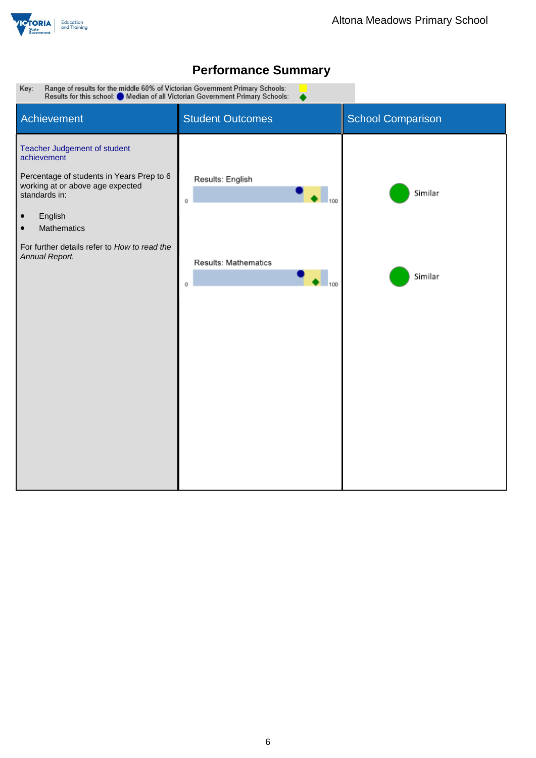



▲

Range of results for the middle 60% of Victorian Government Primary Schools:<br>Results for this school: O Median of all Victorian Government Primary Schools: Key:

| Achievement                                                                                                                                                                                                                                       | <b>Student Outcomes</b>          | <b>School Comparison</b> |
|---------------------------------------------------------------------------------------------------------------------------------------------------------------------------------------------------------------------------------------------------|----------------------------------|--------------------------|
| Teacher Judgement of student<br>achievement<br>Percentage of students in Years Prep to 6<br>working at or above age expected<br>standards in:<br>English<br>$\bullet$<br>Mathematics<br>$\bullet$<br>For further details refer to How to read the | Results: English<br>100<br>0     | Similar                  |
| Annual Report.                                                                                                                                                                                                                                    | Results: Mathematics<br>100<br>0 | Similar                  |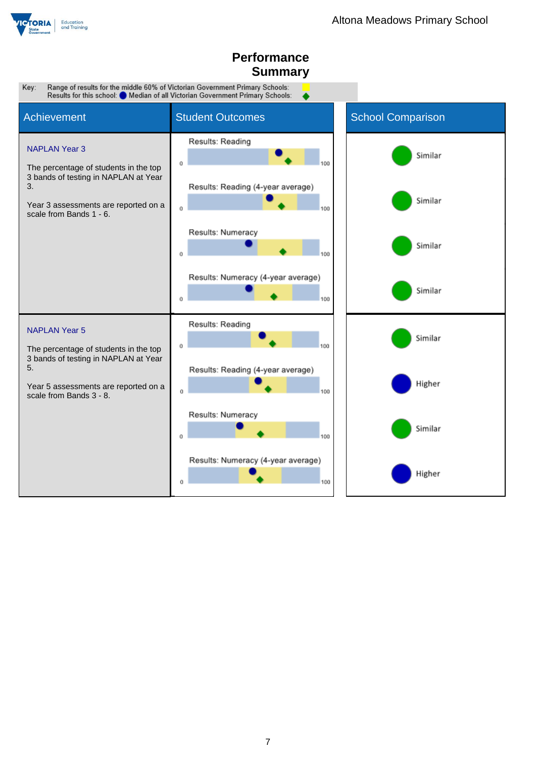

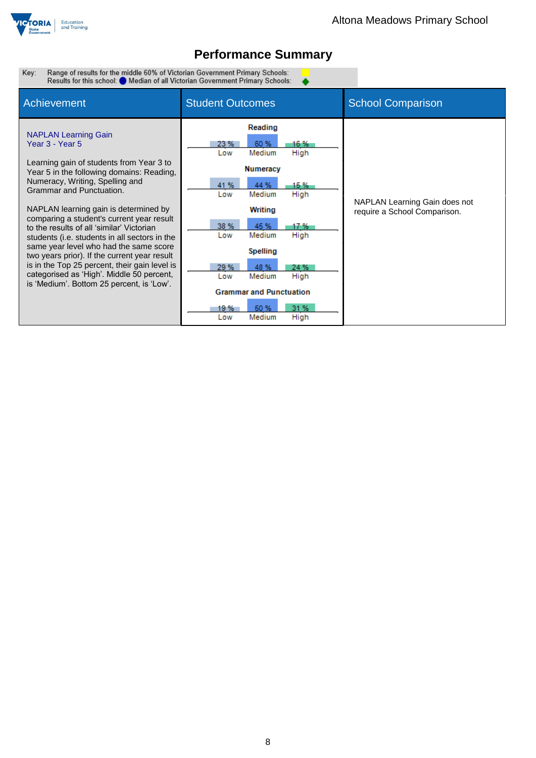

 $\bullet$ 

Range of results for the middle 60% of Victorian Government Primary Schools:<br>Results for this school: O Median of all Victorian Government Primary Schools: Key:

| Achievement                                                                                                                                                                                                                                                                                                                                                                                                                                                                                                                                                                                                                     | <b>Student Outcomes</b>                                                                                                                                                                                                                                                                                                                  | <b>School Comparison</b>                                      |
|---------------------------------------------------------------------------------------------------------------------------------------------------------------------------------------------------------------------------------------------------------------------------------------------------------------------------------------------------------------------------------------------------------------------------------------------------------------------------------------------------------------------------------------------------------------------------------------------------------------------------------|------------------------------------------------------------------------------------------------------------------------------------------------------------------------------------------------------------------------------------------------------------------------------------------------------------------------------------------|---------------------------------------------------------------|
| <b>NAPLAN Learning Gain</b><br>Year 3 - Year 5<br>Learning gain of students from Year 3 to<br>Year 5 in the following domains: Reading,<br>Numeracy, Writing, Spelling and<br>Grammar and Punctuation.<br>NAPLAN learning gain is determined by<br>comparing a student's current year result<br>to the results of all 'similar' Victorian<br>students (i.e. students in all sectors in the<br>same year level who had the same score<br>two years prior). If the current year result<br>is in the Top 25 percent, their gain level is<br>categorised as 'High'. Middle 50 percent,<br>is 'Medium'. Bottom 25 percent, is 'Low'. | Reading<br>60 %<br>23 %<br>16 %<br>Medium<br>High<br>Low<br><b>Numeracy</b><br>41 %<br>44 %<br>15 %<br>Medium<br>High<br>Low<br>Writing<br>38 %<br>45 %<br>17 %<br>Medium<br>High<br>Low<br>Spelling<br>29 %<br>48 %<br>24 %<br>Medium<br>High<br>Low<br><b>Grammar and Punctuation</b><br>31 %<br>50 %<br>19 %<br>Medium<br>High<br>Low | NAPLAN Learning Gain does not<br>require a School Comparison. |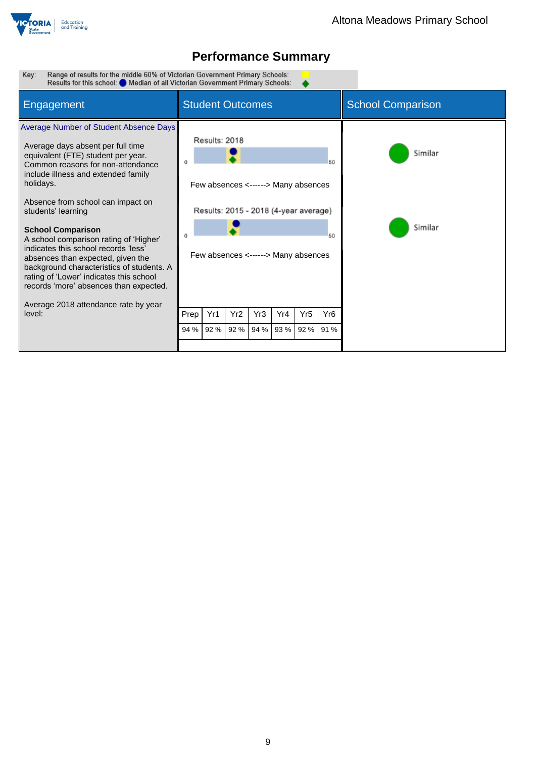

Range of results for the middle 60% of Victorian Government Primary Schools:<br>Results for this school: O Median of all Victorian Government Primary Schools: Key:

| <b>Engagement</b>                                                                                                                                                                                                                                                                                                                                                                                                                                                                                                                                          | <b>Student Outcomes</b> |                                                                                                                                      |      |     |           |                 | <b>School Comparison</b> |                    |
|------------------------------------------------------------------------------------------------------------------------------------------------------------------------------------------------------------------------------------------------------------------------------------------------------------------------------------------------------------------------------------------------------------------------------------------------------------------------------------------------------------------------------------------------------------|-------------------------|--------------------------------------------------------------------------------------------------------------------------------------|------|-----|-----------|-----------------|--------------------------|--------------------|
| Average Number of Student Absence Days<br>Average days absent per full time<br>equivalent (FTE) student per year.<br>Common reasons for non-attendance<br>include illness and extended family<br>holidays.<br>Absence from school can impact on<br>students' learning<br><b>School Comparison</b><br>A school comparison rating of 'Higher'<br>indicates this school records 'less'<br>absences than expected, given the<br>background characteristics of students. A<br>rating of 'Lower' indicates this school<br>records 'more' absences than expected. |                         | Results: 2018<br>Few absences <------> Many absences<br>Results: 2015 - 2018 (4-year average)<br>Few absences <------> Many absences |      |     |           |                 | 50<br>50                 | Similar<br>Similar |
| Average 2018 attendance rate by year<br>level:                                                                                                                                                                                                                                                                                                                                                                                                                                                                                                             | Prep                    | Yr1                                                                                                                                  | Yr2  | Yr3 | Yr4       | Yr <sub>5</sub> | Yr <sub>6</sub>          |                    |
|                                                                                                                                                                                                                                                                                                                                                                                                                                                                                                                                                            | 94 %                    | 92 %                                                                                                                                 | 92 % |     | 94 % 93 % | 92 % 91 %       |                          |                    |
|                                                                                                                                                                                                                                                                                                                                                                                                                                                                                                                                                            |                         |                                                                                                                                      |      |     |           |                 |                          |                    |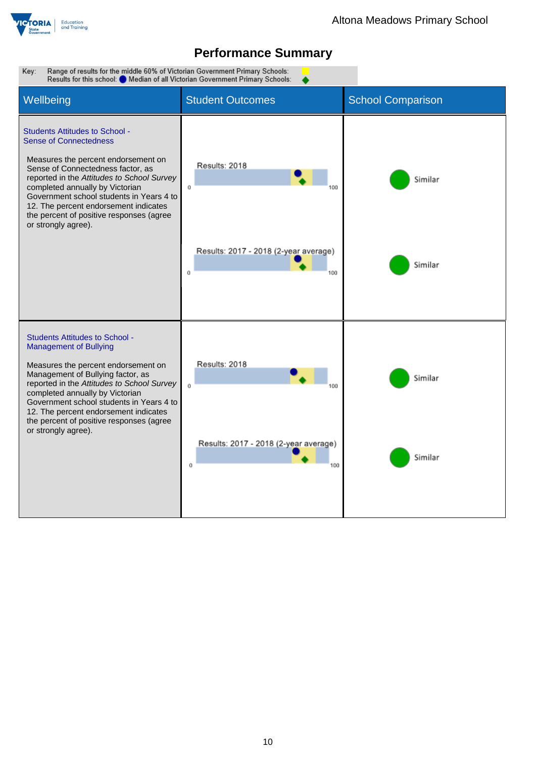

Key: Range of results for the middle 60% of Victorian Government Primary Schools: Results for this school: Median of all Victorian Government Primary Schools: Wellbeing **Student Outcomes** School Comparison Students Attitudes to School - Sense of Connectedness Measures the percent endorsement on Results: 2018 Sense of Connectedness factor, as reported in the *Attitudes to School Survey* Similar completed annually by Victorian  $\mathfrak{o}$ 100 Government school students in Years 4 to 12. The percent endorsement indicates the percent of positive responses (agree or strongly agree). Results: 2017 - 2018 (2-year average) Similar  $\mathbf{o}$ 100 Students Attitudes to School - Management of Bullying Results: 2018 Measures the percent endorsement on Management of Bullying factor, as Similar reported in the *Attitudes to School Survey*  $\alpha$ 100 completed annually by Victorian Government school students in Years 4 to 12. The percent endorsement indicates the percent of positive responses (agree or strongly agree).Results: 2017 - 2018 (2-year average) Similar  $\alpha$ 100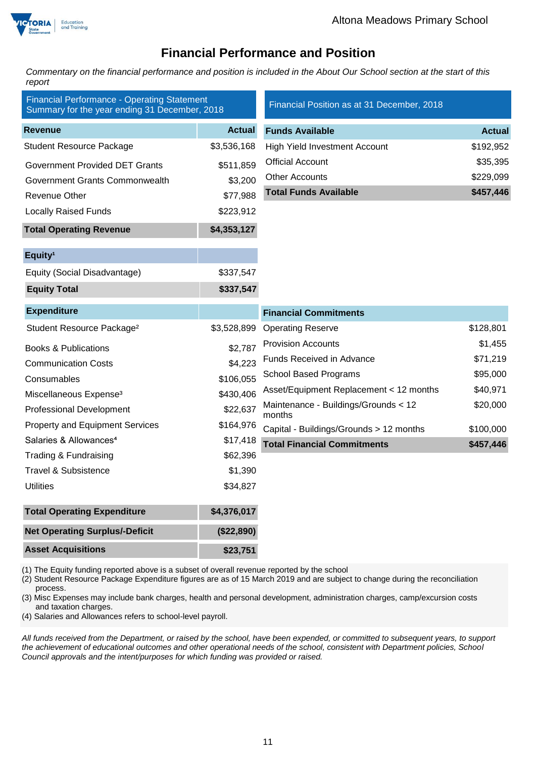

### **Financial Performance and Position**

*Commentary on the financial performance and position is included in the About Our School section at the start of this report*

| <b>Financial Performance - Operating Statement</b><br>Summary for the year ending 31 December, 2018 |               | Financial Position as at 31 December, 2018     |               |  |
|-----------------------------------------------------------------------------------------------------|---------------|------------------------------------------------|---------------|--|
| <b>Revenue</b>                                                                                      | <b>Actual</b> | <b>Funds Available</b>                         | <b>Actual</b> |  |
| <b>Student Resource Package</b>                                                                     | \$3,536,168   | High Yield Investment Account                  | \$192,952     |  |
| <b>Government Provided DET Grants</b>                                                               | \$511,859     | <b>Official Account</b>                        | \$35,395      |  |
| Government Grants Commonwealth                                                                      | \$3,200       | <b>Other Accounts</b>                          | \$229,099     |  |
| Revenue Other                                                                                       | \$77,988      | <b>Total Funds Available</b>                   | \$457,446     |  |
| <b>Locally Raised Funds</b>                                                                         | \$223,912     |                                                |               |  |
| <b>Total Operating Revenue</b>                                                                      | \$4,353,127   |                                                |               |  |
| Equity <sup>1</sup>                                                                                 |               |                                                |               |  |
| Equity (Social Disadvantage)                                                                        | \$337,547     |                                                |               |  |
| <b>Equity Total</b>                                                                                 | \$337,547     |                                                |               |  |
| <b>Expenditure</b>                                                                                  |               | <b>Financial Commitments</b>                   |               |  |
| Student Resource Package <sup>2</sup>                                                               | \$3,528,899   | <b>Operating Reserve</b>                       | \$128,801     |  |
| <b>Books &amp; Publications</b>                                                                     | \$2,787       | <b>Provision Accounts</b>                      | \$1,455       |  |
| <b>Communication Costs</b>                                                                          | \$4,223       | <b>Funds Received in Advance</b>               | \$71,219      |  |
| Consumables                                                                                         | \$106,055     | <b>School Based Programs</b>                   | \$95,000      |  |
| Miscellaneous Expense <sup>3</sup>                                                                  | \$430,406     | Asset/Equipment Replacement < 12 months        | \$40,971      |  |
| <b>Professional Development</b>                                                                     | \$22,637      | Maintenance - Buildings/Grounds < 12<br>months | \$20,000      |  |
| <b>Property and Equipment Services</b>                                                              | \$164,976     | Capital - Buildings/Grounds > 12 months        | \$100,000     |  |
| Salaries & Allowances <sup>4</sup>                                                                  | \$17,418      | <b>Total Financial Commitments</b>             | \$457,446     |  |
| Trading & Fundraising                                                                               | \$62,396      |                                                |               |  |
| <b>Travel &amp; Subsistence</b>                                                                     | \$1,390       |                                                |               |  |
| <b>Utilities</b>                                                                                    | \$34,827      |                                                |               |  |
| <b>Total Operating Expenditure</b>                                                                  | \$4,376,017   |                                                |               |  |
| <b>Net Operating Surplus/-Deficit</b>                                                               | (\$22,890)    |                                                |               |  |
| <b>Asset Acquisitions</b>                                                                           | \$23,751      |                                                |               |  |

(1) The Equity funding reported above is a subset of overall revenue reported by the school

(2) Student Resource Package Expenditure figures are as of 15 March 2019 and are subject to change during the reconciliation process.

(3) Misc Expenses may include bank charges, health and personal development, administration charges, camp/excursion costs and taxation charges.

(4) Salaries and Allowances refers to school-level payroll.

*All funds received from the Department, or raised by the school, have been expended, or committed to subsequent years, to support the achievement of educational outcomes and other operational needs of the school, consistent with Department policies, School Council approvals and the intent/purposes for which funding was provided or raised.*